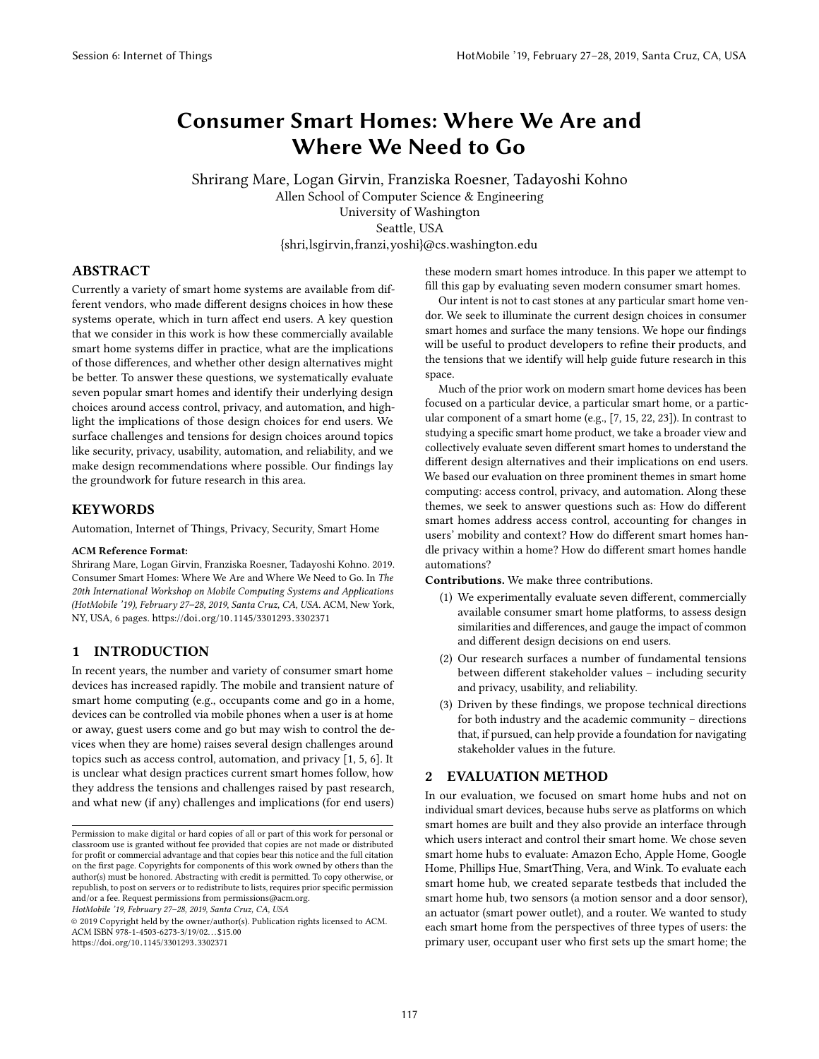# Consumer Smart Homes: Where We Are and Where We Need to Go

Shrirang Mare, Logan Girvin, Franziska Roesner, Tadayoshi Kohno Allen School of Computer Science & Engineering University of Washington Seattle, USA {shri,lsgirvin,franzi,yoshi}@cs.washington.edu

## ABSTRACT

Currently a variety of smart home systems are available from different vendors, who made different designs choices in how these systems operate, which in turn affect end users. A key question that we consider in this work is how these commercially available smart home systems differ in practice, what are the implications of those differences, and whether other design alternatives might be better. To answer these questions, we systematically evaluate seven popular smart homes and identify their underlying design choices around access control, privacy, and automation, and highlight the implications of those design choices for end users. We surface challenges and tensions for design choices around topics like security, privacy, usability, automation, and reliability, and we make design recommendations where possible. Our findings lay the groundwork for future research in this area.

## **KEYWORDS**

Automation, Internet of Things, Privacy, Security, Smart Home

#### ACM Reference Format:

Shrirang Mare, Logan Girvin, Franziska Roesner, Tadayoshi Kohno. 2019. Consumer Smart Homes: Where We Are and Where We Need to Go. In *The 20th International Workshop on Mobile Computing Systems and Applications (HotMobile '19), February 27–28, 2019, Santa Cruz, CA, USA.* ACM, New York, NY, USA, [6](#page-5-0) pages. https://doi.org/10.[1145/3301293](https://doi.org/10.1145/3301293.3302371).3302371

## 1 INTRODUCTION

In recent years, the number and variety of consumer smart home devices has increased rapidly. The mobile and transient nature of smart home computing (e.g., occupants come and go in a home, devices can be controlled via mobile phones when a user is at home or away, guest users come and go but may wish to control the devices when they are home) raises several design challenges around topics such as access control, automation, and privacy [\[1,](#page-5-1) [5,](#page-5-2) [6\]](#page-5-3). It is unclear what design practices current smart homes follow, how they address the tensions and challenges raised by past research, and what new (if any) challenges and implications (for end users)

*HotMobile '19, February 27–28, 2019, Santa Cruz, CA, USA*

these modern smart homes introduce. In this paper we attempt to fill this gap by evaluating seven modern consumer smart homes.

Our intent is not to cast stones at any particular smart home vendor. We seek to illuminate the current design choices in consumer smart homes and surface the many tensions. We hope our findings will be useful to product developers to refine their products, and the tensions that we identify will help guide future research in this space.

Much of the prior work on modern smart home devices has been focused on a particular device, a particular smart home, or a particular component of a smart home (e.g., [\[7,](#page-5-4) [15,](#page-5-5) [22,](#page-5-6) [23\]](#page-5-7)). In contrast to studying a specific smart home product, we take a broader view and collectively evaluate seven different smart homes to understand the different design alternatives and their implications on end users. We based our evaluation on three prominent themes in smart home computing: access control, privacy, and automation. Along these themes, we seek to answer questions such as: How do different smart homes address access control, accounting for changes in users' mobility and context? How do different smart homes handle privacy within a home? How do different smart homes handle automations?

Contributions. We make three contributions.

- (1) We experimentally evaluate seven different, commercially available consumer smart home platforms, to assess design similarities and differences, and gauge the impact of common and different design decisions on end users.
- (2) Our research surfaces a number of fundamental tensions between different stakeholder values - including security and privacy, usability, and reliability.
- (3) Driven by these findings, we propose technical directions for both industry and the academic community – directions that, if pursued, can help provide a foundation for navigating stakeholder values in the future.

## 2 EVALUATION METHOD

In our evaluation, we focused on smart home hubs and not on individual smart devices, because hubs serve as platforms on which smart homes are built and they also provide an interface through which users interact and control their smart home. We chose seven smart home hubs to evaluate: Amazon Echo, Apple Home, Google Home, Phillips Hue, SmartThing, Vera, and Wink. To evaluate each smart home hub, we created separate testbeds that included the smart home hub, two sensors (a motion sensor and a door sensor), an actuator (smart power outlet), and a router. We wanted to study each smart home from the perspectives of three types of users: the primary user, occupant user who first sets up the smart home; the

Permission to make digital or hard copies of all or part of this work for personal or classroom use is granted without fee provided that copies are not made or distributed for profit or commercial advantage and that copies bear this notice and the full citation on the first page. Copyrights for components of this work owned by others than the author(s) must be honored. Abstracting with credit is permitted. To copy otherwise, or republish, to post on servers or to redistribute to lists, requires prior specific permission and/or a fee. Request permissions from permissions@acm.org.

<sup>©</sup> 2019 Copyright held by the owner/author(s). Publication rights licensed to ACM. ACM ISBN 978-1-4503-6273-3/19/02. . . \$15.00 https://doi.org/10.[1145/3301293](https://doi.org/10.1145/3301293.3302371).3302371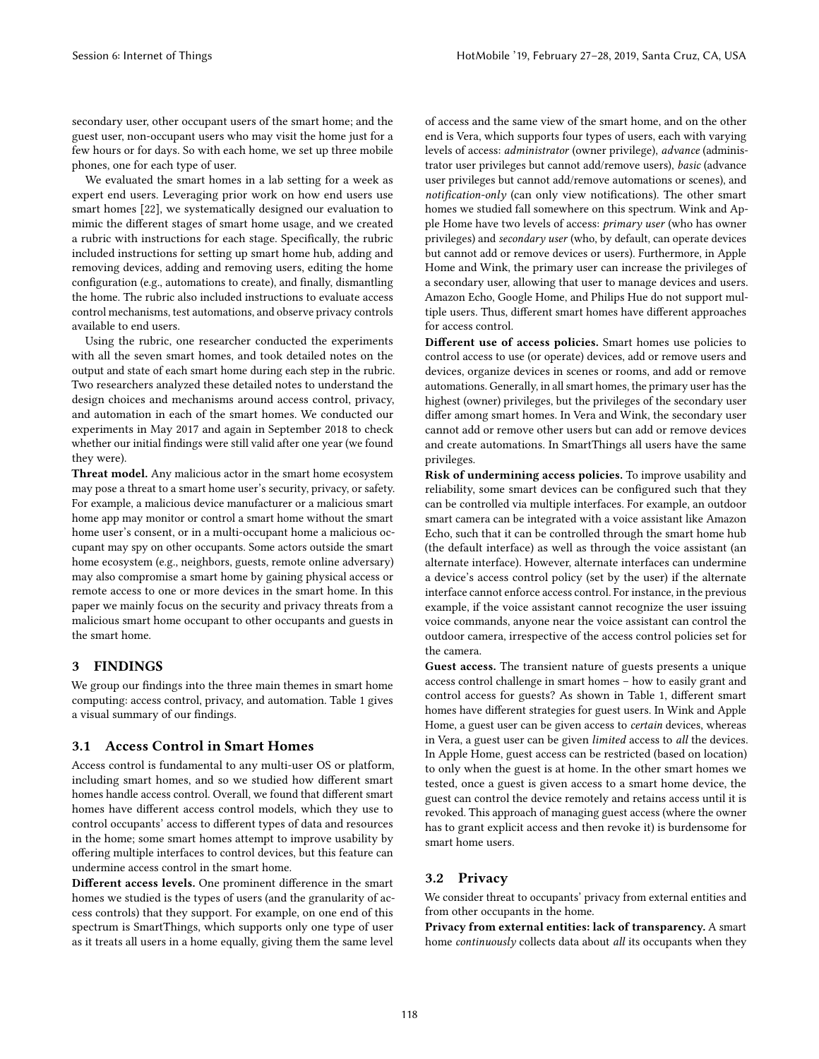secondary user, other occupant users of the smart home; and the guest user, non-occupant users who may visit the home just for a few hours or for days. So with each home, we set up three mobile phones, one for each type of user.

We evaluated the smart homes in a lab setting for a week as expert end users. Leveraging prior work on how end users use smart homes [\[22\]](#page-5-6), we systematically designed our evaluation to mimic the different stages of smart home usage, and we created a rubric with instructions for each stage. Specifically, the rubric included instructions for setting up smart home hub, adding and removing devices, adding and removing users, editing the home configuration (e.g., automations to create), and finally, dismantling the home. The rubric also included instructions to evaluate access control mechanisms, test automations, and observe privacy controls available to end users.

Using the rubric, one researcher conducted the experiments with all the seven smart homes, and took detailed notes on the output and state of each smart home during each step in the rubric. Two researchers analyzed these detailed notes to understand the design choices and mechanisms around access control, privacy, and automation in each of the smart homes. We conducted our experiments in May 2017 and again in September 2018 to check whether our initial findings were still valid after one year (we found they were).

Threat model. Any malicious actor in the smart home ecosystem may pose a threat to a smart home user's security, privacy, or safety. For example, a malicious device manufacturer or a malicious smart home app may monitor or control a smart home without the smart home user's consent, or in a multi-occupant home a malicious occupant may spy on other occupants. Some actors outside the smart home ecosystem (e.g., neighbors, guests, remote online adversary) may also compromise a smart home by gaining physical access or remote access to one or more devices in the smart home. In this paper we mainly focus on the security and privacy threats from a malicious smart home occupant to other occupants and guests in the smart home.

# 3 FINDINGS

We group our findings into the three main themes in smart home computing: access control, privacy, and automation. Table [1](#page-2-0) gives a visual summary of our findings.

# 3.1 Access Control in Smart Homes

Access control is fundamental to any multi-user OS or platform, including smart homes, and so we studied how different smart homes handle access control. Overall, we found that different smart homes have different access control models, which they use to control occupants' access to different types of data and resources in the home; some smart homes attempt to improve usability by offering multiple interfaces to control devices, but this feature can undermine access control in the smart home.

Different access levels. One prominent difference in the smart homes we studied is the types of users (and the granularity of access controls) that they support. For example, on one end of this spectrum is SmartThings, which supports only one type of user as it treats all users in a home equally, giving them the same level

of access and the same view of the smart home, and on the other end is Vera, which supports four types of users, each with varying levels of access: *administrator* (owner privilege), *advance* (administrator user privileges but cannot add/remove users), *basic* (advance user privileges but cannot add/remove automations or scenes), and *notification-only* (can only view notifications). The other smart homes we studied fall somewhere on this spectrum. Wink and Apple Home have two levels of access: *primary user* (who has owner privileges) and *secondary user* (who, by default, can operate devices but cannot add or remove devices or users). Furthermore, in Apple Home and Wink, the primary user can increase the privileges of a secondary user, allowing that user to manage devices and users. Amazon Echo, Google Home, and Philips Hue do not support multiple users. Thus, different smart homes have different approaches for access control.

Different use of access policies. Smart homes use policies to control access to use (or operate) devices, add or remove users and devices, organize devices in scenes or rooms, and add or remove automations. Generally, in all smart homes, the primary user has the highest (owner) privileges, but the privileges of the secondary user differ among smart homes. In Vera and Wink, the secondary user cannot add or remove other users but can add or remove devices and create automations. In SmartThings all users have the same privileges.

Risk of undermining access policies. To improve usability and reliability, some smart devices can be configured such that they can be controlled via multiple interfaces. For example, an outdoor smart camera can be integrated with a voice assistant like Amazon Echo, such that it can be controlled through the smart home hub (the default interface) as well as through the voice assistant (an alternate interface). However, alternate interfaces can undermine a device's access control policy (set by the user) if the alternate interface cannot enforce access control. For instance, in the previous example, if the voice assistant cannot recognize the user issuing voice commands, anyone near the voice assistant can control the outdoor camera, irrespective of the access control policies set for the camera.

Guest access. The transient nature of guests presents a unique access control challenge in smart homes – how to easily grant and control access for guests? As shown in Table [1,](#page-2-0) different smart homes have different strategies for guest users. In Wink and Apple Home, a guest user can be given access to *certain* devices, whereas in Vera, a guest user can be given *limited* access to *all* the devices. In Apple Home, guest access can be restricted (based on location) to only when the guest is at home. In the other smart homes we tested, once a guest is given access to a smart home device, the guest can control the device remotely and retains access until it is revoked. This approach of managing guest access (where the owner has to grant explicit access and then revoke it) is burdensome for smart home users.

# 3.2 Privacy

We consider threat to occupants' privacy from external entities and from other occupants in the home.

Privacy from external entities: lack of transparency. A smart home *continuously* collects data about *all* its occupants when they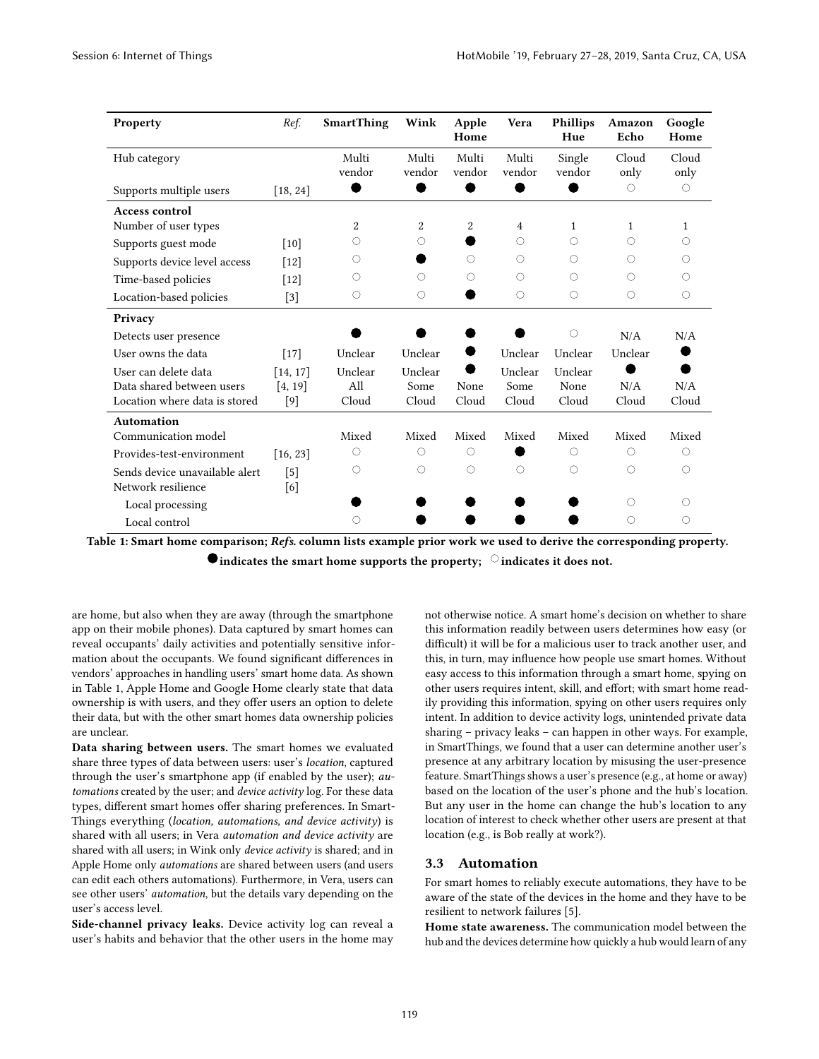<span id="page-2-0"></span>

| Property                       | Ref.               | <b>SmartThing</b> | Wink            | Apple<br>Home   | Vera            | <b>Phillips</b><br>Hue | Amazon<br>Echo | Google<br>Home |
|--------------------------------|--------------------|-------------------|-----------------|-----------------|-----------------|------------------------|----------------|----------------|
| Hub category                   |                    | Multi<br>vendor   | Multi<br>vendor | Multi<br>vendor | Multi<br>vendor | Single<br>vendor       | Cloud<br>only  | Cloud<br>only  |
| Supports multiple users        | [18, 24]           |                   |                 |                 |                 |                        | O              | O              |
| Access control                 |                    |                   |                 |                 |                 |                        |                |                |
| Number of user types           |                    | 2                 | 2               | 2               | 4               | 1                      | 1              | 1              |
| Supports guest mode            | $\lceil 10 \rceil$ | ∩                 | Ω               |                 | Ω               | ∩                      | ( )            | ( )            |
| Supports device level access   | $[12]$             | O                 |                 | Ω               | Ω               | ∩                      | ∩              | ∩              |
| Time-based policies            | $[12]$             | O                 | O               | Ο               | O               | ∩                      | ∩              | ∩              |
| Location-based policies        | $[3]$              | $\circ$           | O               |                 | $\bigcirc$      | $\circ$                | $\bigcirc$     | О              |
| Privacy                        |                    |                   |                 |                 |                 |                        |                |                |
| Detects user presence          |                    |                   |                 |                 |                 | О                      | N/A            | N/A            |
| User owns the data             | $[17]$             | Unclear           | Unclear         |                 | Unclear         | Unclear                | Unclear        |                |
| User can delete data           | [14, 17]           | Unclear           | Unclear         |                 | Unclear         | Unclear                |                |                |
| Data shared between users      | [4, 19]            | All               | Some            | None            | Some            | None                   | N/A            | N/A            |
| Location where data is stored  | $[9]$              | Cloud             | Cloud           | Cloud           | Cloud           | Cloud                  | Cloud          | Cloud          |
| Automation                     |                    |                   |                 |                 |                 |                        |                |                |
| Communication model            |                    | Mixed             | Mixed           | Mixed           | Mixed           | Mixed                  | Mixed          | Mixed          |
| Provides-test-environment      | [16, 23]           | O                 | O               | О               |                 | ∩                      | ◯              | ∩              |
| Sends device unavailable alert | $[5]$              | $\bigcirc$        | ◯               | $\circ$         | Ο               | $\bigcirc$             | Ω              | Ο              |
| Network resilience             | [6]                |                   |                 |                 |                 |                        |                |                |
| Local processing               |                    |                   |                 |                 |                 |                        | ◯              |                |
| Local control                  |                    | ∩                 |                 |                 |                 |                        | ∩              | ∩              |

Table 1: Smart home comparison; *Refs.* column lists example prior work we used to derive the corresponding property.  $\bullet$  indicates the smart home supports the property;  $\circ$  indicates it does not.

are home, but also when they are away (through the smartphone app on their mobile phones). Data captured by smart homes can reveal occupants' daily activities and potentially sensitive information about the occupants. We found significant differences in vendors' approaches in handling users' smart home data. As shown in Table [1,](#page-2-0) Apple Home and Google Home clearly state that data ownership is with users, and they offer users an option to delete their data, but with the other smart homes data ownership policies are unclear.

Data sharing between users. The smart homes we evaluated share three types of data between users: user's *location*, captured through the user's smartphone app (if enabled by the user); *automations* created by the user; and *device activity* log. For these data types, different smart homes offer sharing preferences. In Smart-Things everything (*location, automations, and device activity*) is shared with all users; in Vera *automation and device activity* are shared with all users; in Wink only *device activity* is shared; and in Apple Home only *automations* are shared between users (and users can edit each others automations). Furthermore, in Vera, users can see other users' *automation*, but the details vary depending on the user's access level.

Side-channel privacy leaks. Device activity log can reveal a user's habits and behavior that the other users in the home may not otherwise notice. A smart home's decision on whether to share this information readily between users determines how easy (or difficult) it will be for a malicious user to track another user, and this, in turn, may influence how people use smart homes. Without easy access to this information through a smart home, spying on other users requires intent, skill, and effort; with smart home readily providing this information, spying on other users requires only intent. In addition to device activity logs, unintended private data sharing – privacy leaks – can happen in other ways. For example, in SmartThings, we found that a user can determine another user's presence at any arbitrary location by misusing the user-presence feature. SmartThings shows a user's presence (e.g., at home or away) based on the location of the user's phone and the hub's location. But any user in the home can change the hub's location to any location of interest to check whether other users are present at that location (e.g., is Bob really at work?).

#### 3.3 Automation

For smart homes to reliably execute automations, they have to be aware of the state of the devices in the home and they have to be resilient to network failures [\[5\]](#page-5-2).

Home state awareness. The communication model between the hub and the devices determine how quickly a hub would learn of any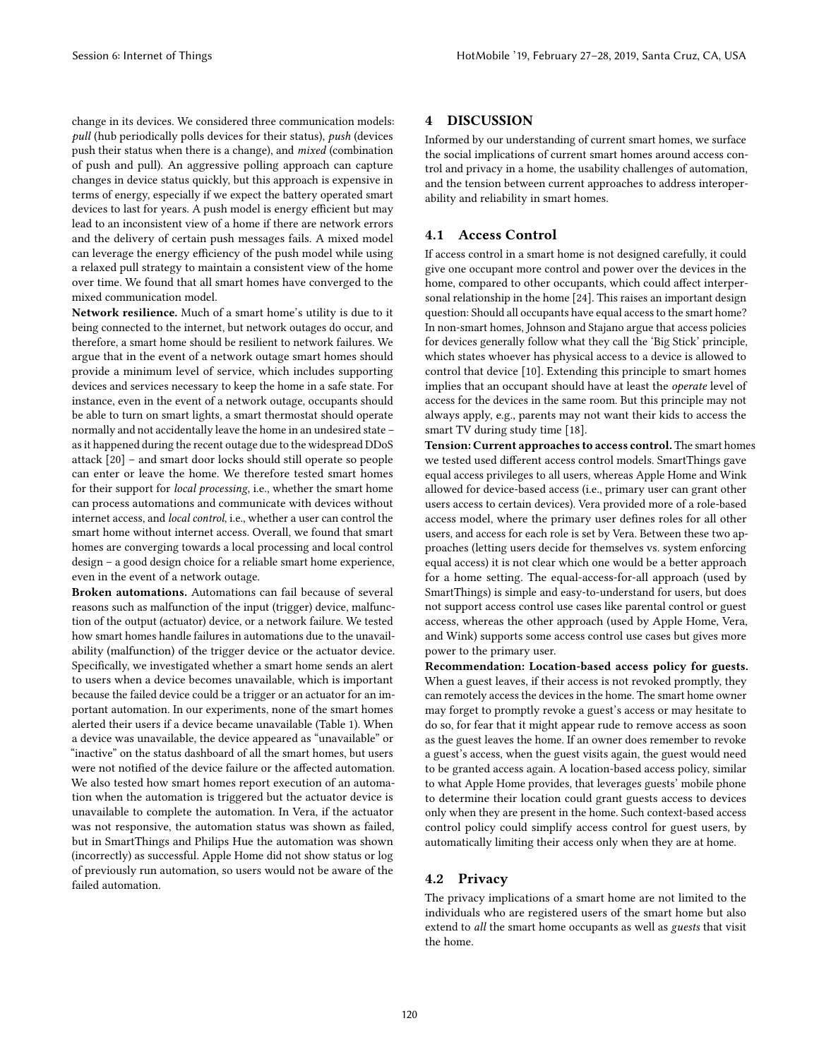change in its devices. We considered three communication models: *pull* (hub periodically polls devices for their status), *push* (devices push their status when there is a change), and *mixed* (combination of push and pull). An aggressive polling approach can capture changes in device status quickly, but this approach is expensive in terms of energy, especially if we expect the battery operated smart devices to last for years. A push model is energy efficient but may lead to an inconsistent view of a home if there are network errors and the delivery of certain push messages fails. A mixed model can leverage the energy efficiency of the push model while using a relaxed pull strategy to maintain a consistent view of the home over time. We found that all smart homes have converged to the mixed communication model.

Network resilience. Much of a smart home's utility is due to it being connected to the internet, but network outages do occur, and therefore, a smart home should be resilient to network failures. We argue that in the event of a network outage smart homes should provide a minimum level of service, which includes supporting devices and services necessary to keep the home in a safe state. For instance, even in the event of a network outage, occupants should be able to turn on smart lights, a smart thermostat should operate normally and not accidentally leave the home in an undesired state – as it happened during the recent outage due to the widespread DDoS attack [\[20\]](#page-5-19) – and smart door locks should still operate so people can enter or leave the home. We therefore tested smart homes for their support for *local processing*, i.e., whether the smart home can process automations and communicate with devices without internet access, and *local control*, i.e., whether a user can control the smart home without internet access. Overall, we found that smart homes are converging towards a local processing and local control design – a good design choice for a reliable smart home experience, even in the event of a network outage.

Broken automations. Automations can fail because of several reasons such as malfunction of the input (trigger) device, malfunction of the output (actuator) device, or a network failure. We tested how smart homes handle failures in automations due to the unavailability (malfunction) of the trigger device or the actuator device. Specifically, we investigated whether a smart home sends an alert to users when a device becomes unavailable, which is important because the failed device could be a trigger or an actuator for an important automation. In our experiments, none of the smart homes alerted their users if a device became unavailable (Table [1\)](#page-2-0). When a device was unavailable, the device appeared as "unavailable" or "inactive" on the status dashboard of all the smart homes, but users were not notified of the device failure or the affected automation. We also tested how smart homes report execution of an automation when the automation is triggered but the actuator device is unavailable to complete the automation. In Vera, if the actuator was not responsive, the automation status was shown as failed, but in SmartThings and Philips Hue the automation was shown (incorrectly) as successful. Apple Home did not show status or log of previously run automation, so users would not be aware of the failed automation.

## 4 DISCUSSION

Informed by our understanding of current smart homes, we surface the social implications of current smart homes around access control and privacy in a home, the usability challenges of automation, and the tension between current approaches to address interoperability and reliability in smart homes.

# 4.1 Access Control

If access control in a smart home is not designed carefully, it could give one occupant more control and power over the devices in the home, compared to other occupants, which could affect interpersonal relationship in the home [\[24\]](#page-5-9). This raises an important design question: Should all occupants have equal access to the smart home? In non-smart homes, Johnson and Stajano argue that access policies for devices generally follow what they call the 'Big Stick' principle, which states whoever has physical access to a device is allowed to control that device [\[10\]](#page-5-10). Extending this principle to smart homes implies that an occupant should have at least the *operate* level of access for the devices in the same room. But this principle may not always apply, e.g., parents may not want their kids to access the smart TV during study time [\[18\]](#page-5-8).

Tension: Current approaches to access control. The smart homes we tested used different access control models. SmartThings gave equal access privileges to all users, whereas Apple Home and Wink allowed for device-based access (i.e., primary user can grant other users access to certain devices). Vera provided more of a role-based access model, where the primary user defines roles for all other users, and access for each role is set by Vera. Between these two approaches (letting users decide for themselves vs. system enforcing equal access) it is not clear which one would be a better approach for a home setting. The equal-access-for-all approach (used by SmartThings) is simple and easy-to-understand for users, but does not support access control use cases like parental control or guest access, whereas the other approach (used by Apple Home, Vera, and Wink) supports some access control use cases but gives more power to the primary user.

Recommendation: Location-based access policy for guests. When a guest leaves, if their access is not revoked promptly, they can remotely access the devices in the home. The smart home owner may forget to promptly revoke a guest's access or may hesitate to do so, for fear that it might appear rude to remove access as soon as the guest leaves the home. If an owner does remember to revoke a guest's access, when the guest visits again, the guest would need to be granted access again. A location-based access policy, similar to what Apple Home provides, that leverages guests' mobile phone to determine their location could grant guests access to devices only when they are present in the home. Such context-based access control policy could simplify access control for guest users, by automatically limiting their access only when they are at home.

## 4.2 Privacy

The privacy implications of a smart home are not limited to the individuals who are registered users of the smart home but also extend to *all* the smart home occupants as well as *guests* that visit the home.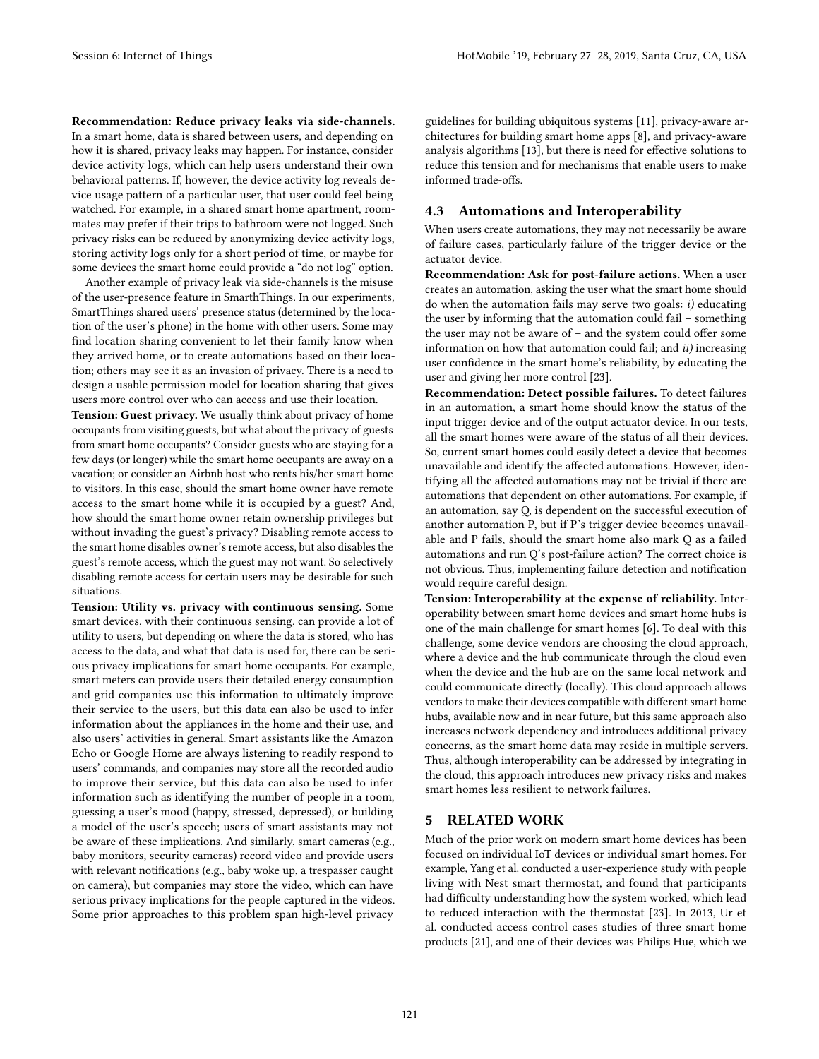Recommendation: Reduce privacy leaks via side-channels. In a smart home, data is shared between users, and depending on how it is shared, privacy leaks may happen. For instance, consider device activity logs, which can help users understand their own behavioral patterns. If, however, the device activity log reveals device usage pattern of a particular user, that user could feel being watched. For example, in a shared smart home apartment, roommates may prefer if their trips to bathroom were not logged. Such privacy risks can be reduced by anonymizing device activity logs, storing activity logs only for a short period of time, or maybe for some devices the smart home could provide a "do not log" option.

Another example of privacy leak via side-channels is the misuse of the user-presence feature in SmarthThings. In our experiments, SmartThings shared users' presence status (determined by the location of the user's phone) in the home with other users. Some may find location sharing convenient to let their family know when they arrived home, or to create automations based on their location; others may see it as an invasion of privacy. There is a need to design a usable permission model for location sharing that gives users more control over who can access and use their location.

Tension: Guest privacy. We usually think about privacy of home occupants from visiting guests, but what about the privacy of guests from smart home occupants? Consider guests who are staying for a few days (or longer) while the smart home occupants are away on a vacation; or consider an Airbnb host who rents his/her smart home to visitors. In this case, should the smart home owner have remote access to the smart home while it is occupied by a guest? And, how should the smart home owner retain ownership privileges but without invading the guest's privacy? Disabling remote access to the smart home disables owner's remote access, but also disables the guest's remote access, which the guest may not want. So selectively disabling remote access for certain users may be desirable for such situations.

Tension: Utility vs. privacy with continuous sensing. Some smart devices, with their continuous sensing, can provide a lot of utility to users, but depending on where the data is stored, who has access to the data, and what that data is used for, there can be serious privacy implications for smart home occupants. For example, smart meters can provide users their detailed energy consumption and grid companies use this information to ultimately improve their service to the users, but this data can also be used to infer information about the appliances in the home and their use, and also users' activities in general. Smart assistants like the Amazon Echo or Google Home are always listening to readily respond to users' commands, and companies may store all the recorded audio to improve their service, but this data can also be used to infer information such as identifying the number of people in a room, guessing a user's mood (happy, stressed, depressed), or building a model of the user's speech; users of smart assistants may not be aware of these implications. And similarly, smart cameras (e.g., baby monitors, security cameras) record video and provide users with relevant notifications (e.g., baby woke up, a trespasser caught on camera), but companies may store the video, which can have serious privacy implications for the people captured in the videos. Some prior approaches to this problem span high-level privacy

guidelines for building ubiquitous systems [\[11\]](#page-5-20), privacy-aware architectures for building smart home apps [\[8\]](#page-5-21), and privacy-aware analysis algorithms [\[13\]](#page-5-22), but there is need for effective solutions to reduce this tension and for mechanisms that enable users to make informed trade-offs.

#### 4.3 Automations and Interoperability

When users create automations, they may not necessarily be aware of failure cases, particularly failure of the trigger device or the actuator device.

Recommendation: Ask for post-failure actions. When a user creates an automation, asking the user what the smart home should do when the automation fails may serve two goals: *i)* educating the user by informing that the automation could fail – something the user may not be aware of  $-$  and the system could offer some information on how that automation could fail; and *ii)* increasing user confidence in the smart home's reliability, by educating the user and giving her more control [\[23\]](#page-5-7).

Recommendation: Detect possible failures. To detect failures in an automation, a smart home should know the status of the input trigger device and of the output actuator device. In our tests, all the smart homes were aware of the status of all their devices. So, current smart homes could easily detect a device that becomes unavailable and identify the affected automations. However, identifying all the affected automations may not be trivial if there are automations that dependent on other automations. For example, if an automation, say Q, is dependent on the successful execution of another automation P, but if P's trigger device becomes unavailable and P fails, should the smart home also mark Q as a failed automations and run Q's post-failure action? The correct choice is not obvious. Thus, implementing failure detection and notification would require careful design.

Tension: Interoperability at the expense of reliability. Interoperability between smart home devices and smart home hubs is one of the main challenge for smart homes [\[6\]](#page-5-3). To deal with this challenge, some device vendors are choosing the cloud approach, where a device and the hub communicate through the cloud even when the device and the hub are on the same local network and could communicate directly (locally). This cloud approach allows vendors to make their devices compatible with different smart home hubs, available now and in near future, but this same approach also increases network dependency and introduces additional privacy concerns, as the smart home data may reside in multiple servers. Thus, although interoperability can be addressed by integrating in the cloud, this approach introduces new privacy risks and makes smart homes less resilient to network failures.

## 5 RELATED WORK

Much of the prior work on modern smart home devices has been focused on individual IoT devices or individual smart homes. For example, Yang et al. conducted a user-experience study with people living with Nest smart thermostat, and found that participants had difficulty understanding how the system worked, which lead to reduced interaction with the thermostat [\[23\]](#page-5-7). In 2013, Ur et al. conducted access control cases studies of three smart home products [\[21\]](#page-5-23), and one of their devices was Philips Hue, which we